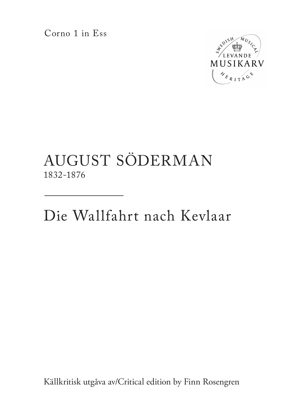Corno 1 in Ess



## AUGUST SÖDERMAN 1832-1876

Die Wallfahrt nach Kevlaar

Källkritisk utgåva av/Critical edition by Finn Rosengren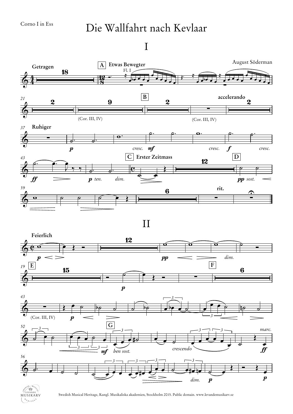## Die Wallfahrt nach Kevlaar

I





Swedish Musical Heritage, Kungl. Musikaliska akademien, Stockholm 2015. Public domain. www.levandemusikarv.se